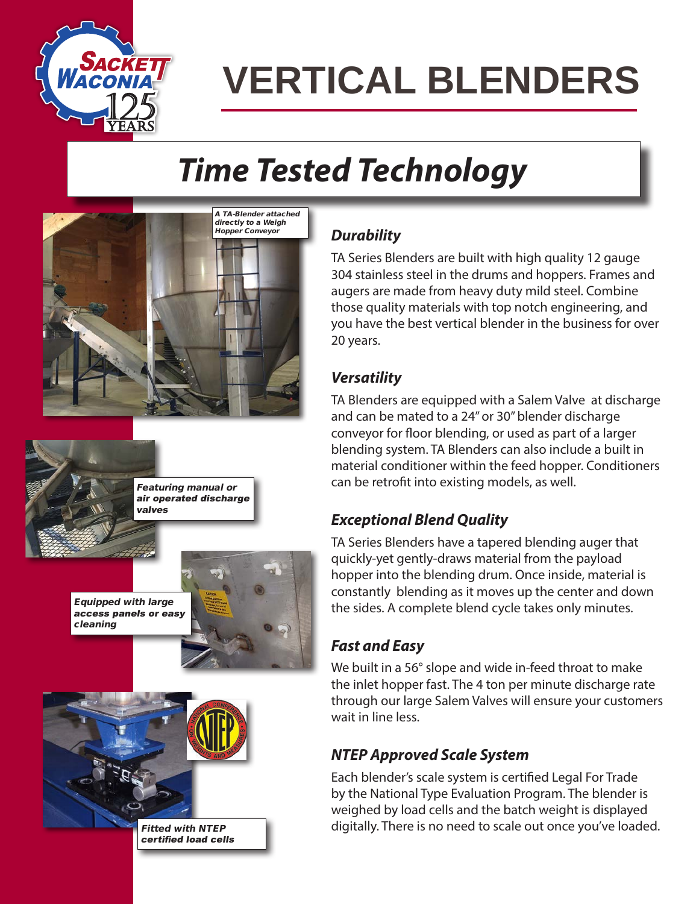

# **VERTICAL BLENDERS**

## *Time Tested Technology*





cleaning

Featuring manual or air operated discharge valves





certified load cells

#### *Durability*

TA Series Blenders are built with high quality 12 gauge 304 stainless steel in the drums and hoppers. Frames and augers are made from heavy duty mild steel. Combine those quality materials with top notch engineering, and you have the best vertical blender in the business for over 20 years.

#### *Versatility*

TA Blenders are equipped with a Salem Valve at discharge and can be mated to a 24" or 30" blender discharge conveyor for floor blending, or used as part of a larger blending system. TA Blenders can also include a built in material conditioner within the feed hopper. Conditioners can be retrofit into existing models, as well.

#### *Exceptional Blend Quality*

TA Series Blenders have a tapered blending auger that quickly-yet gently-draws material from the payload hopper into the blending drum. Once inside, material is constantly blending as it moves up the center and down the sides. A complete blend cycle takes only minutes.

#### *Fast and Easy*

We built in a 56° slope and wide in-feed throat to make the inlet hopper fast. The 4 ton per minute discharge rate through our large Salem Valves will ensure your customers wait in line less.

#### *NTEP Approved Scale System*

Each blender's scale system is certified Legal For Trade by the National Type Evaluation Program. The blender is weighed by load cells and the batch weight is displayed digitally. There is no need to scale out once you've loaded.